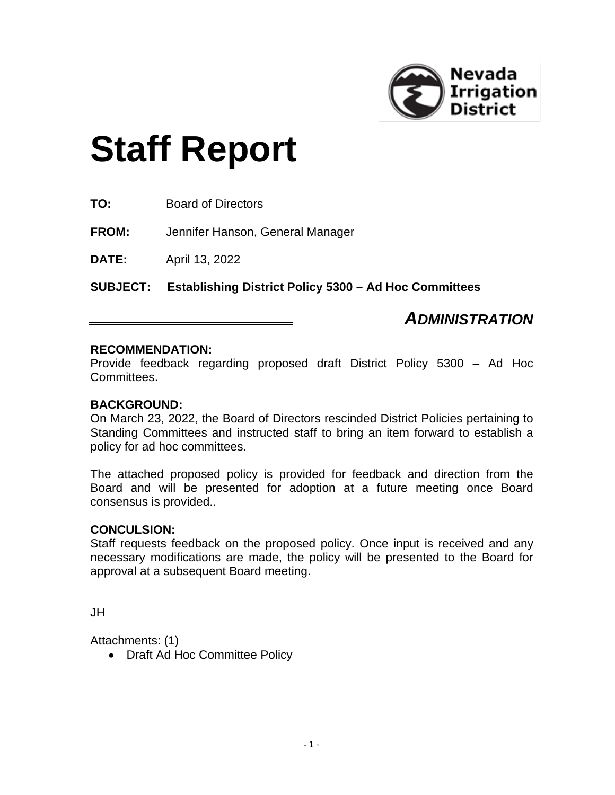

# **Staff Report**

**TO:** Board of Directors

**FROM:** Jennifer Hanson, General Manager

**DATE:** April 13, 2022

**SUBJECT: Establishing District Policy 5300 – Ad Hoc Committees**

### *ADMINISTRATION*

#### **RECOMMENDATION:**

Provide feedback regarding proposed draft District Policy 5300 – Ad Hoc Committees.

#### **BACKGROUND:**

On March 23, 2022, the Board of Directors rescinded District Policies pertaining to Standing Committees and instructed staff to bring an item forward to establish a policy for ad hoc committees.

The attached proposed policy is provided for feedback and direction from the Board and will be presented for adoption at a future meeting once Board consensus is provided..

#### **CONCULSION:**

Staff requests feedback on the proposed policy. Once input is received and any necessary modifications are made, the policy will be presented to the Board for approval at a subsequent Board meeting.

JH

Attachments: (1)

• Draft Ad Hoc Committee Policy